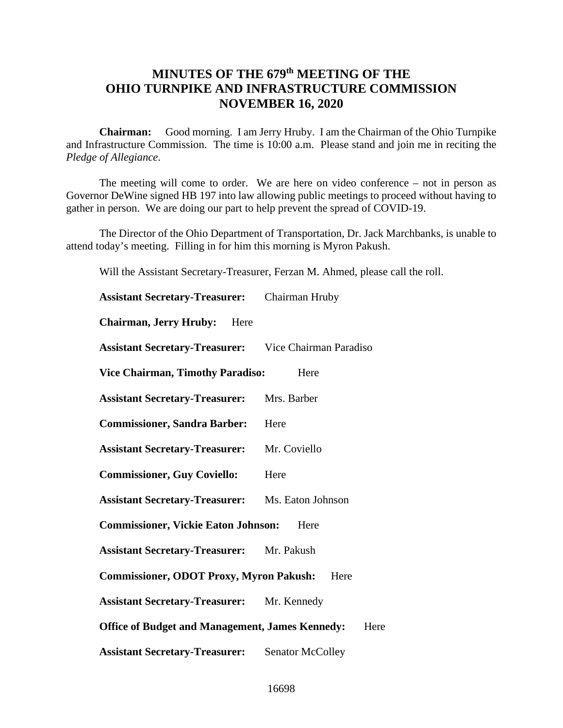## **MINUTES OF THE 679th MEETING OF THE OHIO TURNPIKE AND INFRASTRUCTURE COMMISSION NOVEMBER 16, 2020**

**Chairman:** Good morning. I am Jerry Hruby. I am the Chairman of the Ohio Turnpike and Infrastructure Commission. The time is 10:00 a.m. Please stand and join me in reciting the *Pledge of Allegiance*.

The meeting will come to order. We are here on video conference – not in person as Governor DeWine signed HB 197 into law allowing public meetings to proceed without having to gather in person. We are doing our part to help prevent the spread of COVID-19.

The Director of the Ohio Department of Transportation, Dr. Jack Marchbanks, is unable to attend today's meeting. Filling in for him this morning is Myron Pakush.

Will the Assistant Secretary-Treasurer, Ferzan M. Ahmed, please call the roll.

| <b>Assistant Secretary-Treasurer:</b>                          | Chairman Hruby          |
|----------------------------------------------------------------|-------------------------|
| <b>Chairman, Jerry Hruby:</b> Here                             |                         |
| <b>Assistant Secretary-Treasurer:</b> Vice Chairman Paradiso   |                         |
| <b>Vice Chairman, Timothy Paradiso:</b>                        | Here                    |
| <b>Assistant Secretary-Treasurer:</b>                          | Mrs. Barber             |
| <b>Commissioner, Sandra Barber:</b>                            | Here                    |
| <b>Assistant Secretary-Treasurer:</b>                          | Mr. Coviello            |
| <b>Commissioner, Guy Coviello:</b>                             | Here                    |
| <b>Assistant Secretary-Treasurer:</b>                          | Ms. Eaton Johnson       |
| <b>Commissioner, Vickie Eaton Johnson:</b><br>Here             |                         |
| <b>Assistant Secretary-Treasurer:</b> Mr. Pakush               |                         |
| <b>Commissioner, ODOT Proxy, Myron Pakush:</b><br>Here         |                         |
| <b>Assistant Secretary-Treasurer:</b> Mr. Kennedy              |                         |
| <b>Office of Budget and Management, James Kennedy:</b><br>Here |                         |
| <b>Assistant Secretary-Treasurer:</b>                          | <b>Senator McColley</b> |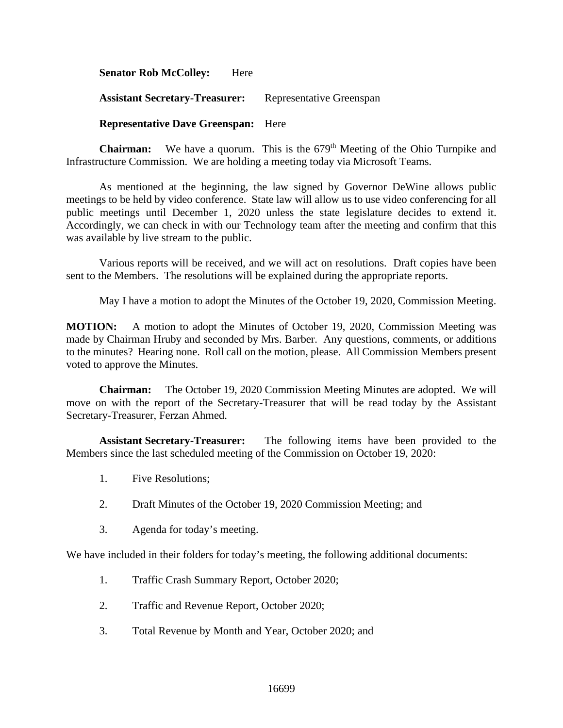**Senator Rob McColley:** Here Assistant Secretary-Treasurer: Representative Greenspan **Representative Dave Greenspan:** Here

**Chairman:** We have a quorum. This is the 679<sup>th</sup> Meeting of the Ohio Turnpike and Infrastructure Commission. We are holding a meeting today via Microsoft Teams.

As mentioned at the beginning, the law signed by Governor DeWine allows public meetings to be held by video conference. State law will allow us to use video conferencing for all public meetings until December 1, 2020 unless the state legislature decides to extend it. Accordingly, we can check in with our Technology team after the meeting and confirm that this was available by live stream to the public.

Various reports will be received, and we will act on resolutions. Draft copies have been sent to the Members. The resolutions will be explained during the appropriate reports.

May I have a motion to adopt the Minutes of the October 19, 2020, Commission Meeting.

**MOTION:** A motion to adopt the Minutes of October 19, 2020, Commission Meeting was made by Chairman Hruby and seconded by Mrs. Barber. Any questions, comments, or additions to the minutes? Hearing none. Roll call on the motion, please. All Commission Members present voted to approve the Minutes.

**Chairman:** The October 19, 2020 Commission Meeting Minutes are adopted. We will move on with the report of the Secretary-Treasurer that will be read today by the Assistant Secretary-Treasurer, Ferzan Ahmed.

**Assistant Secretary-Treasurer:** The following items have been provided to the Members since the last scheduled meeting of the Commission on October 19, 2020:

- 1. Five Resolutions;
- 2. Draft Minutes of the October 19, 2020 Commission Meeting; and
- 3. Agenda for today's meeting.

We have included in their folders for today's meeting, the following additional documents:

- 1. Traffic Crash Summary Report, October 2020;
- 2. Traffic and Revenue Report, October 2020;
- 3. Total Revenue by Month and Year, October 2020; and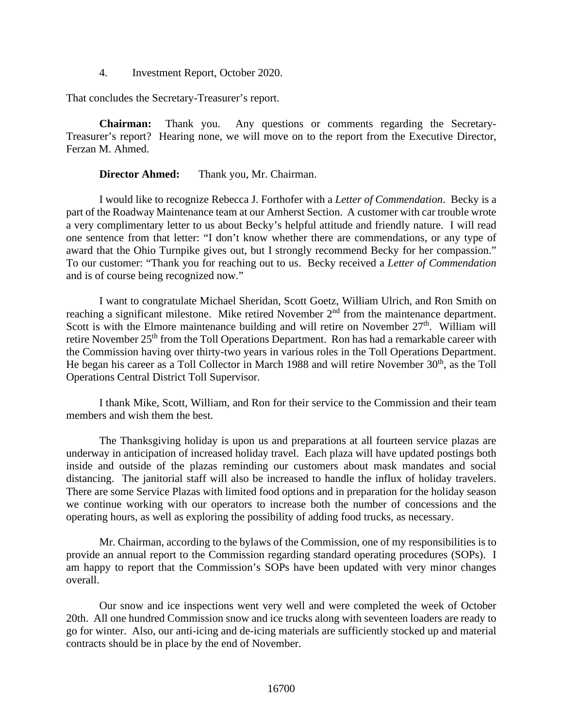4. Investment Report, October 2020.

That concludes the Secretary-Treasurer's report.

**Chairman:** Thank you. Any questions or comments regarding the Secretary-Treasurer's report? Hearing none, we will move on to the report from the Executive Director, Ferzan M. Ahmed.

#### **Director Ahmed:** Thank you, Mr. Chairman.

I would like to recognize Rebecca J. Forthofer with a *Letter of Commendation*. Becky is a part of the Roadway Maintenance team at our Amherst Section. A customer with car trouble wrote a very complimentary letter to us about Becky's helpful attitude and friendly nature. I will read one sentence from that letter: "I don't know whether there are commendations, or any type of award that the Ohio Turnpike gives out, but I strongly recommend Becky for her compassion." To our customer: "Thank you for reaching out to us. Becky received a *Letter of Commendation* and is of course being recognized now."

I want to congratulate Michael Sheridan, Scott Goetz, William Ulrich, and Ron Smith on reaching a significant milestone. Mike retired November 2<sup>nd</sup> from the maintenance department. Scott is with the Elmore maintenance building and will retire on November  $27<sup>th</sup>$ . William will retire November 25<sup>th</sup> from the Toll Operations Department. Ron has had a remarkable career with the Commission having over thirty-two years in various roles in the Toll Operations Department. He began his career as a Toll Collector in March 1988 and will retire November 30<sup>th</sup>, as the Toll Operations Central District Toll Supervisor.

I thank Mike, Scott, William, and Ron for their service to the Commission and their team members and wish them the best.

The Thanksgiving holiday is upon us and preparations at all fourteen service plazas are underway in anticipation of increased holiday travel. Each plaza will have updated postings both inside and outside of the plazas reminding our customers about mask mandates and social distancing. The janitorial staff will also be increased to handle the influx of holiday travelers. There are some Service Plazas with limited food options and in preparation for the holiday season we continue working with our operators to increase both the number of concessions and the operating hours, as well as exploring the possibility of adding food trucks, as necessary.

Mr. Chairman, according to the bylaws of the Commission, one of my responsibilities is to provide an annual report to the Commission regarding standard operating procedures (SOPs). I am happy to report that the Commission's SOPs have been updated with very minor changes overall.

Our snow and ice inspections went very well and were completed the week of October 20th. All one hundred Commission snow and ice trucks along with seventeen loaders are ready to go for winter. Also, our anti-icing and de-icing materials are sufficiently stocked up and material contracts should be in place by the end of November.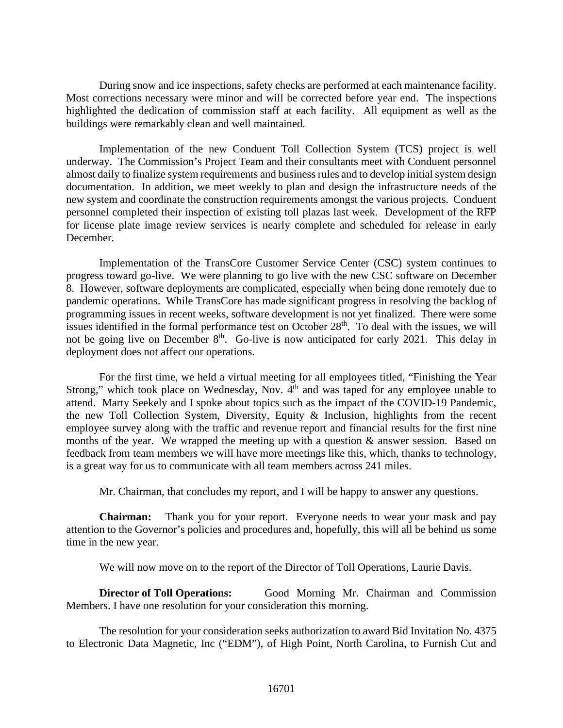During snow and ice inspections, safety checks are performed at each maintenance facility. Most corrections necessary were minor and will be corrected before year end. The inspections highlighted the dedication of commission staff at each facility. All equipment as well as the buildings were remarkably clean and well maintained.

Implementation of the new Conduent Toll Collection System (TCS) project is well underway. The Commission's Project Team and their consultants meet with Conduent personnel almost daily to finalize system requirements and business rules and to develop initial system design documentation. In addition, we meet weekly to plan and design the infrastructure needs of the new system and coordinate the construction requirements amongst the various projects. Conduent personnel completed their inspection of existing toll plazas last week. Development of the RFP for license plate image review services is nearly complete and scheduled for release in early December.

Implementation of the TransCore Customer Service Center (CSC) system continues to progress toward go-live. We were planning to go live with the new CSC software on December 8. However, software deployments are complicated, especially when being done remotely due to pandemic operations. While TransCore has made significant progress in resolving the backlog of programming issues in recent weeks, software development is not yet finalized. There were some issues identified in the formal performance test on October  $28<sup>th</sup>$ . To deal with the issues, we will not be going live on December  $8<sup>th</sup>$ . Go-live is now anticipated for early 2021. This delay in deployment does not affect our operations.

For the first time, we held a virtual meeting for all employees titled, "Finishing the Year Strong," which took place on Wednesday, Nov.  $4<sup>th</sup>$  and was taped for any employee unable to attend. Marty Seekely and I spoke about topics such as the impact of the COVID-19 Pandemic, the new Toll Collection System, Diversity, Equity & Inclusion, highlights from the recent employee survey along with the traffic and revenue report and financial results for the first nine months of the year. We wrapped the meeting up with a question & answer session. Based on feedback from team members we will have more meetings like this, which, thanks to technology, is a great way for us to communicate with all team members across 241 miles.

Mr. Chairman, that concludes my report, and I will be happy to answer any questions.

**Chairman:** Thank you for your report. Everyone needs to wear your mask and pay attention to the Governor's policies and procedures and, hopefully, this will all be behind us some time in the new year.

We will now move on to the report of the Director of Toll Operations, Laurie Davis.

**Director of Toll Operations:** Good Morning Mr. Chairman and Commission Members. I have one resolution for your consideration this morning.

The resolution for your consideration seeks authorization to award Bid Invitation No. 4375 to Electronic Data Magnetic, Inc ("EDM"), of High Point, North Carolina, to Furnish Cut and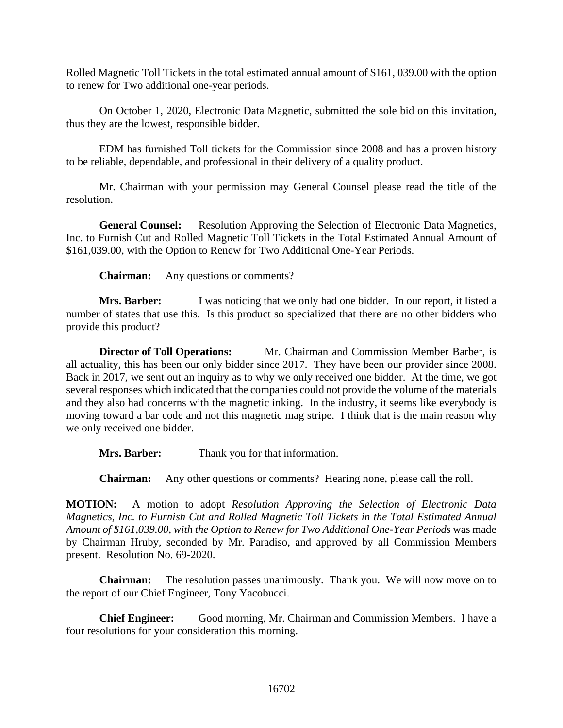Rolled Magnetic Toll Tickets in the total estimated annual amount of \$161, 039.00 with the option to renew for Two additional one-year periods.

On October 1, 2020, Electronic Data Magnetic, submitted the sole bid on this invitation, thus they are the lowest, responsible bidder.

EDM has furnished Toll tickets for the Commission since 2008 and has a proven history to be reliable, dependable, and professional in their delivery of a quality product.

Mr. Chairman with your permission may General Counsel please read the title of the resolution.

**General Counsel:** Resolution Approving the Selection of Electronic Data Magnetics, Inc. to Furnish Cut and Rolled Magnetic Toll Tickets in the Total Estimated Annual Amount of \$161,039.00, with the Option to Renew for Two Additional One-Year Periods.

**Chairman:** Any questions or comments?

**Mrs. Barber:** I was noticing that we only had one bidder. In our report, it listed a number of states that use this. Is this product so specialized that there are no other bidders who provide this product?

**Director of Toll Operations:** Mr. Chairman and Commission Member Barber, is all actuality, this has been our only bidder since 2017. They have been our provider since 2008. Back in 2017, we sent out an inquiry as to why we only received one bidder. At the time, we got several responses which indicated that the companies could not provide the volume of the materials and they also had concerns with the magnetic inking. In the industry, it seems like everybody is moving toward a bar code and not this magnetic mag stripe. I think that is the main reason why we only received one bidder.

**Mrs. Barber:** Thank you for that information.

**Chairman:** Any other questions or comments? Hearing none, please call the roll.

**MOTION:** A motion to adopt *Resolution Approving the Selection of Electronic Data Magnetics, Inc. to Furnish Cut and Rolled Magnetic Toll Tickets in the Total Estimated Annual Amount of \$161,039.00, with the Option to Renew for Two Additional One-Year Periods* was made by Chairman Hruby, seconded by Mr. Paradiso, and approved by all Commission Members present. Resolution No. 69-2020.

**Chairman:** The resolution passes unanimously. Thank you. We will now move on to the report of our Chief Engineer, Tony Yacobucci.

**Chief Engineer:** Good morning, Mr. Chairman and Commission Members. I have a four resolutions for your consideration this morning.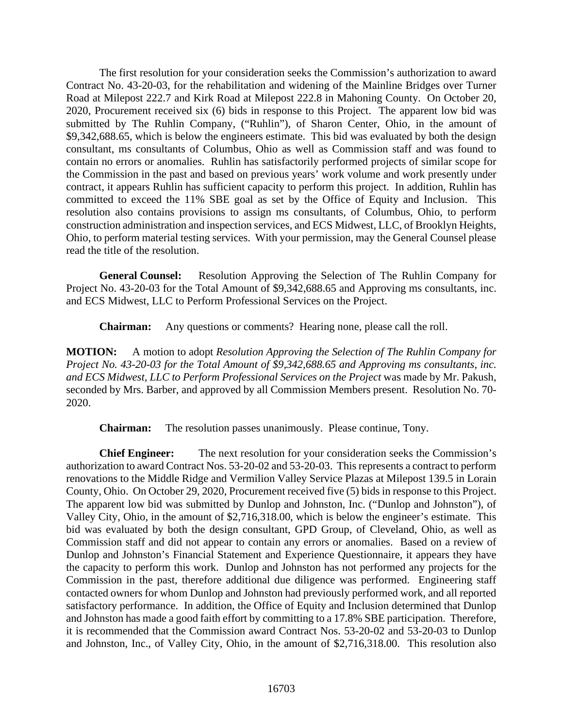The first resolution for your consideration seeks the Commission's authorization to award Contract No. 43-20-03, for the rehabilitation and widening of the Mainline Bridges over Turner Road at Milepost 222.7 and Kirk Road at Milepost 222.8 in Mahoning County. On October 20, 2020, Procurement received six (6) bids in response to this Project. The apparent low bid was submitted by The Ruhlin Company, ("Ruhlin"), of Sharon Center, Ohio, in the amount of \$9,342,688.65, which is below the engineers estimate. This bid was evaluated by both the design consultant, ms consultants of Columbus, Ohio as well as Commission staff and was found to contain no errors or anomalies. Ruhlin has satisfactorily performed projects of similar scope for the Commission in the past and based on previous years' work volume and work presently under contract, it appears Ruhlin has sufficient capacity to perform this project. In addition, Ruhlin has committed to exceed the 11% SBE goal as set by the Office of Equity and Inclusion. This resolution also contains provisions to assign ms consultants, of Columbus, Ohio, to perform construction administration and inspection services, and ECS Midwest, LLC, of Brooklyn Heights, Ohio, to perform material testing services. With your permission, may the General Counsel please read the title of the resolution.

**General Counsel:** Resolution Approving the Selection of The Ruhlin Company for Project No. 43-20-03 for the Total Amount of \$9,342,688.65 and Approving ms consultants, inc. and ECS Midwest, LLC to Perform Professional Services on the Project.

**Chairman:** Any questions or comments? Hearing none, please call the roll.

**MOTION:** A motion to adopt *Resolution Approving the Selection of The Ruhlin Company for Project No. 43-20-03 for the Total Amount of \$9,342,688.65 and Approving ms consultants, inc. and ECS Midwest, LLC to Perform Professional Services on the Project* was made by Mr. Pakush, seconded by Mrs. Barber, and approved by all Commission Members present. Resolution No. 70- 2020.

**Chairman:** The resolution passes unanimously. Please continue, Tony.

**Chief Engineer:** The next resolution for your consideration seeks the Commission's authorization to award Contract Nos. 53-20-02 and 53-20-03. This represents a contract to perform renovations to the Middle Ridge and Vermilion Valley Service Plazas at Milepost 139.5 in Lorain County, Ohio. On October 29, 2020, Procurement received five (5) bids in response to this Project. The apparent low bid was submitted by Dunlop and Johnston, Inc. ("Dunlop and Johnston"), of Valley City, Ohio, in the amount of \$2,716,318.00, which is below the engineer's estimate. This bid was evaluated by both the design consultant, GPD Group, of Cleveland, Ohio, as well as Commission staff and did not appear to contain any errors or anomalies. Based on a review of Dunlop and Johnston's Financial Statement and Experience Questionnaire, it appears they have the capacity to perform this work. Dunlop and Johnston has not performed any projects for the Commission in the past, therefore additional due diligence was performed. Engineering staff contacted owners for whom Dunlop and Johnston had previously performed work, and all reported satisfactory performance. In addition, the Office of Equity and Inclusion determined that Dunlop and Johnston has made a good faith effort by committing to a 17.8% SBE participation. Therefore, it is recommended that the Commission award Contract Nos. 53-20-02 and 53-20-03 to Dunlop and Johnston, Inc., of Valley City, Ohio, in the amount of \$2,716,318.00. This resolution also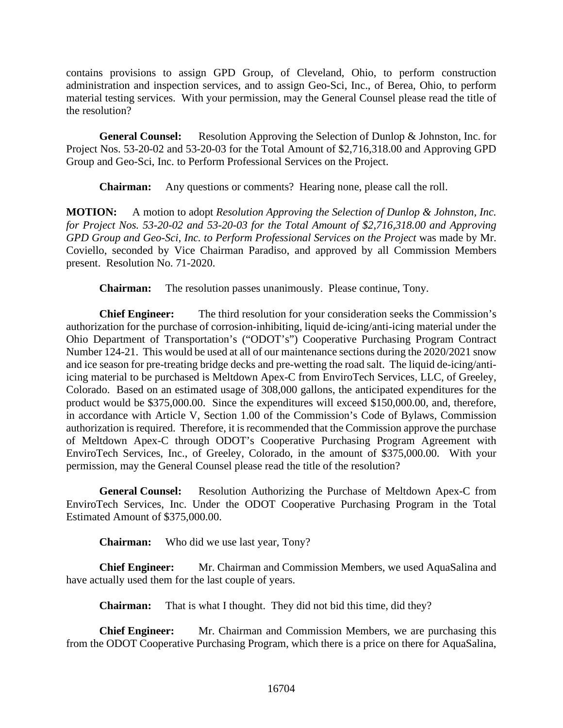contains provisions to assign GPD Group, of Cleveland, Ohio, to perform construction administration and inspection services, and to assign Geo-Sci, Inc., of Berea, Ohio, to perform material testing services. With your permission, may the General Counsel please read the title of the resolution?

**General Counsel:** Resolution Approving the Selection of Dunlop & Johnston, Inc. for Project Nos. 53-20-02 and 53-20-03 for the Total Amount of \$2,716,318.00 and Approving GPD Group and Geo-Sci, Inc. to Perform Professional Services on the Project.

**Chairman:** Any questions or comments? Hearing none, please call the roll.

**MOTION:** A motion to adopt *Resolution Approving the Selection of Dunlop & Johnston, Inc. for Project Nos. 53-20-02 and 53-20-03 for the Total Amount of \$2,716,318.00 and Approving GPD Group and Geo-Sci, Inc. to Perform Professional Services on the Project* was made by Mr. Coviello, seconded by Vice Chairman Paradiso, and approved by all Commission Members present. Resolution No. 71-2020.

**Chairman:** The resolution passes unanimously. Please continue, Tony.

**Chief Engineer:** The third resolution for your consideration seeks the Commission's authorization for the purchase of corrosion-inhibiting, liquid de-icing/anti-icing material under the Ohio Department of Transportation's ("ODOT's") Cooperative Purchasing Program Contract Number 124-21. This would be used at all of our maintenance sections during the 2020/2021 snow and ice season for pre-treating bridge decks and pre-wetting the road salt. The liquid de-icing/antiicing material to be purchased is Meltdown Apex-C from EnviroTech Services, LLC, of Greeley, Colorado. Based on an estimated usage of 308,000 gallons, the anticipated expenditures for the product would be \$375,000.00. Since the expenditures will exceed \$150,000.00, and, therefore, in accordance with Article V, Section 1.00 of the Commission's Code of Bylaws, Commission authorization is required. Therefore, it is recommended that the Commission approve the purchase of Meltdown Apex-C through ODOT's Cooperative Purchasing Program Agreement with EnviroTech Services, Inc., of Greeley, Colorado, in the amount of \$375,000.00. With your permission, may the General Counsel please read the title of the resolution?

**General Counsel:** Resolution Authorizing the Purchase of Meltdown Apex-C from EnviroTech Services, Inc. Under the ODOT Cooperative Purchasing Program in the Total Estimated Amount of \$375,000.00.

**Chairman:** Who did we use last year, Tony?

**Chief Engineer:** Mr. Chairman and Commission Members, we used AquaSalina and have actually used them for the last couple of years.

**Chairman:** That is what I thought. They did not bid this time, did they?

**Chief Engineer:** Mr. Chairman and Commission Members, we are purchasing this from the ODOT Cooperative Purchasing Program, which there is a price on there for AquaSalina,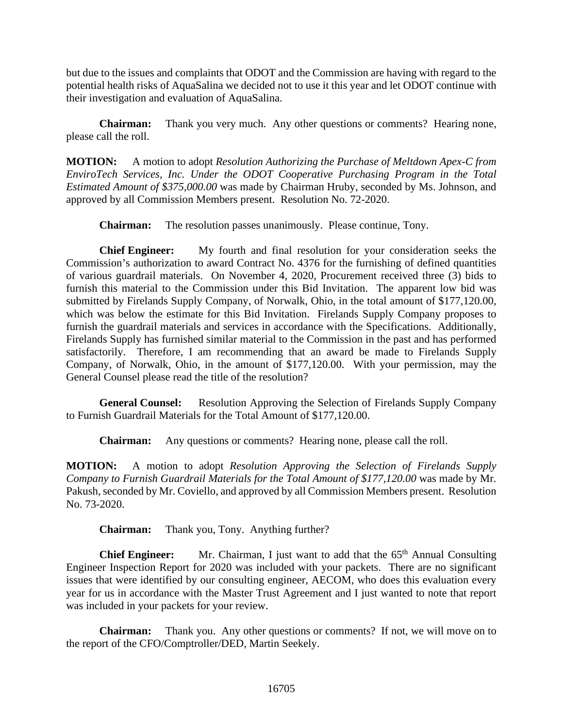but due to the issues and complaints that ODOT and the Commission are having with regard to the potential health risks of AquaSalina we decided not to use it this year and let ODOT continue with their investigation and evaluation of AquaSalina.

**Chairman:** Thank you very much. Any other questions or comments? Hearing none, please call the roll.

**MOTION:** A motion to adopt *Resolution Authorizing the Purchase of Meltdown Apex-C from EnviroTech Services, Inc. Under the ODOT Cooperative Purchasing Program in the Total Estimated Amount of \$375,000.00* was made by Chairman Hruby, seconded by Ms. Johnson, and approved by all Commission Members present. Resolution No. 72-2020.

**Chairman:** The resolution passes unanimously. Please continue, Tony.

**Chief Engineer:** My fourth and final resolution for your consideration seeks the Commission's authorization to award Contract No. 4376 for the furnishing of defined quantities of various guardrail materials. On November 4, 2020, Procurement received three (3) bids to furnish this material to the Commission under this Bid Invitation. The apparent low bid was submitted by Firelands Supply Company, of Norwalk, Ohio, in the total amount of \$177,120.00, which was below the estimate for this Bid Invitation. Firelands Supply Company proposes to furnish the guardrail materials and services in accordance with the Specifications. Additionally, Firelands Supply has furnished similar material to the Commission in the past and has performed satisfactorily. Therefore, I am recommending that an award be made to Firelands Supply Company, of Norwalk, Ohio, in the amount of \$177,120.00. With your permission, may the General Counsel please read the title of the resolution?

**General Counsel:** Resolution Approving the Selection of Firelands Supply Company to Furnish Guardrail Materials for the Total Amount of \$177,120.00.

**Chairman:** Any questions or comments? Hearing none, please call the roll.

**MOTION:** A motion to adopt *Resolution Approving the Selection of Firelands Supply Company to Furnish Guardrail Materials for the Total Amount of \$177,120.00* was made by Mr. Pakush, seconded by Mr. Coviello, and approved by all Commission Members present. Resolution No. 73-2020.

**Chairman:** Thank you, Tony. Anything further?

**Chief Engineer:** Mr. Chairman, I just want to add that the 65<sup>th</sup> Annual Consulting Engineer Inspection Report for 2020 was included with your packets. There are no significant issues that were identified by our consulting engineer, AECOM, who does this evaluation every year for us in accordance with the Master Trust Agreement and I just wanted to note that report was included in your packets for your review.

**Chairman:** Thank you. Any other questions or comments? If not, we will move on to the report of the CFO/Comptroller/DED, Martin Seekely.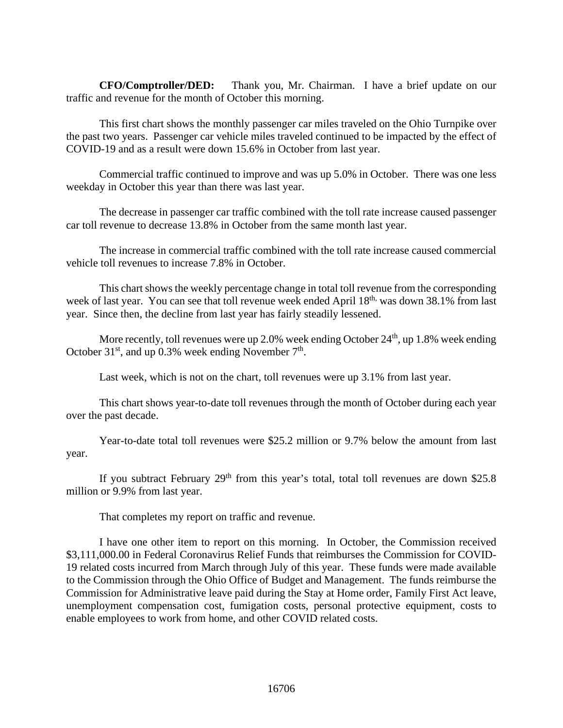**CFO/Comptroller/DED:** Thank you, Mr. Chairman. I have a brief update on our traffic and revenue for the month of October this morning.

This first chart shows the monthly passenger car miles traveled on the Ohio Turnpike over the past two years. Passenger car vehicle miles traveled continued to be impacted by the effect of COVID-19 and as a result were down 15.6% in October from last year.

Commercial traffic continued to improve and was up 5.0% in October. There was one less weekday in October this year than there was last year.

The decrease in passenger car traffic combined with the toll rate increase caused passenger car toll revenue to decrease 13.8% in October from the same month last year.

The increase in commercial traffic combined with the toll rate increase caused commercial vehicle toll revenues to increase 7.8% in October.

This chart shows the weekly percentage change in total toll revenue from the corresponding week of last year. You can see that toll revenue week ended April 18<sup>th,</sup> was down 38.1% from last year. Since then, the decline from last year has fairly steadily lessened.

More recently, toll revenues were up 2.0% week ending October  $24<sup>th</sup>$ , up 1.8% week ending October  $31<sup>st</sup>$ , and up 0.3% week ending November  $7<sup>th</sup>$ .

Last week, which is not on the chart, toll revenues were up 3.1% from last year.

This chart shows year-to-date toll revenues through the month of October during each year over the past decade.

Year-to-date total toll revenues were \$25.2 million or 9.7% below the amount from last year.

If you subtract February  $29<sup>th</sup>$  from this year's total, total toll revenues are down \$25.8 million or 9.9% from last year.

That completes my report on traffic and revenue.

I have one other item to report on this morning. In October, the Commission received \$3,111,000.00 in Federal Coronavirus Relief Funds that reimburses the Commission for COVID-19 related costs incurred from March through July of this year. These funds were made available to the Commission through the Ohio Office of Budget and Management. The funds reimburse the Commission for Administrative leave paid during the Stay at Home order, Family First Act leave, unemployment compensation cost, fumigation costs, personal protective equipment, costs to enable employees to work from home, and other COVID related costs.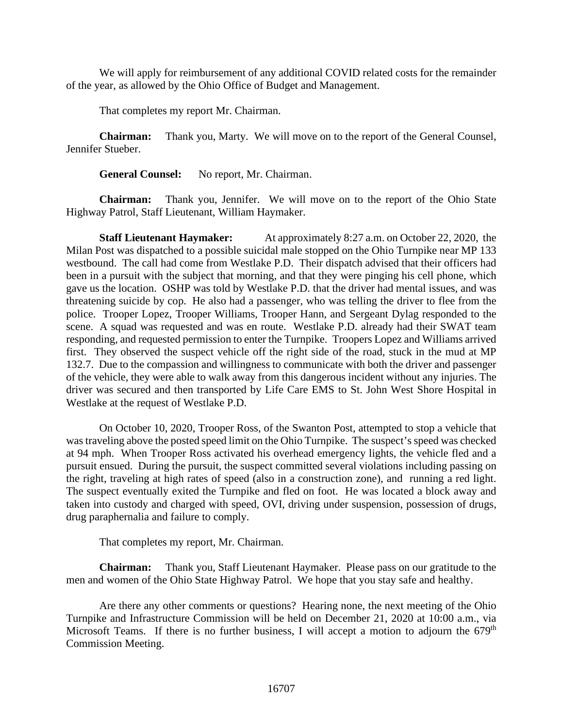We will apply for reimbursement of any additional COVID related costs for the remainder of the year, as allowed by the Ohio Office of Budget and Management.

That completes my report Mr. Chairman.

**Chairman:** Thank you, Marty. We will move on to the report of the General Counsel, Jennifer Stueber.

General Counsel: No report, Mr. Chairman.

**Chairman:** Thank you, Jennifer. We will move on to the report of the Ohio State Highway Patrol, Staff Lieutenant, William Haymaker.

**Staff Lieutenant Haymaker:** At approximately 8:27 a.m. on October 22, 2020, the Milan Post was dispatched to a possible suicidal male stopped on the Ohio Turnpike near MP 133 westbound. The call had come from Westlake P.D. Their dispatch advised that their officers had been in a pursuit with the subject that morning, and that they were pinging his cell phone, which gave us the location. OSHP was told by Westlake P.D. that the driver had mental issues, and was threatening suicide by cop. He also had a passenger, who was telling the driver to flee from the police. Trooper Lopez, Trooper Williams, Trooper Hann, and Sergeant Dylag responded to the scene. A squad was requested and was en route. Westlake P.D. already had their SWAT team responding, and requested permission to enter the Turnpike. Troopers Lopez and Williams arrived first. They observed the suspect vehicle off the right side of the road, stuck in the mud at MP 132.7. Due to the compassion and willingness to communicate with both the driver and passenger of the vehicle, they were able to walk away from this dangerous incident without any injuries. The driver was secured and then transported by Life Care EMS to St. John West Shore Hospital in Westlake at the request of Westlake P.D.

On October 10, 2020, Trooper Ross, of the Swanton Post, attempted to stop a vehicle that was traveling above the posted speed limit on the Ohio Turnpike. The suspect's speed was checked at 94 mph. When Trooper Ross activated his overhead emergency lights, the vehicle fled and a pursuit ensued. During the pursuit, the suspect committed several violations including passing on the right, traveling at high rates of speed (also in a construction zone), and running a red light. The suspect eventually exited the Turnpike and fled on foot. He was located a block away and taken into custody and charged with speed, OVI, driving under suspension, possession of drugs, drug paraphernalia and failure to comply.

That completes my report, Mr. Chairman.

**Chairman:** Thank you, Staff Lieutenant Haymaker. Please pass on our gratitude to the men and women of the Ohio State Highway Patrol. We hope that you stay safe and healthy.

Are there any other comments or questions? Hearing none, the next meeting of the Ohio Turnpike and Infrastructure Commission will be held on December 21, 2020 at 10:00 a.m., via Microsoft Teams. If there is no further business, I will accept a motion to adjourn the  $679<sup>th</sup>$ Commission Meeting.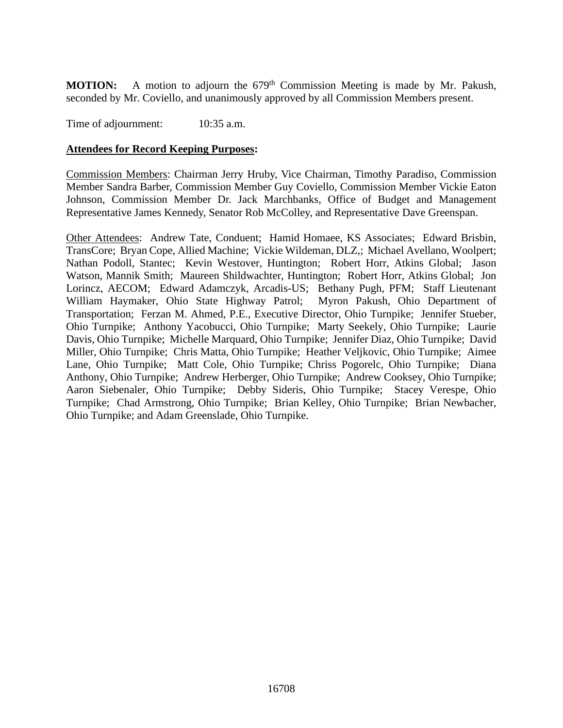**MOTION:** A motion to adjourn the 679<sup>th</sup> Commission Meeting is made by Mr. Pakush, seconded by Mr. Coviello, and unanimously approved by all Commission Members present.

Time of adjournment:  $10:35$  a.m.

## **Attendees for Record Keeping Purposes:**

Commission Members: Chairman Jerry Hruby, Vice Chairman, Timothy Paradiso, Commission Member Sandra Barber, Commission Member Guy Coviello, Commission Member Vickie Eaton Johnson, Commission Member Dr. Jack Marchbanks, Office of Budget and Management Representative James Kennedy, Senator Rob McColley, and Representative Dave Greenspan.

Other Attendees: Andrew Tate, Conduent; Hamid Homaee, KS Associates; Edward Brisbin, TransCore; Bryan Cope, Allied Machine; Vickie Wildeman, DLZ,; Michael Avellano, Woolpert; Nathan Podoll, Stantec; Kevin Westover, Huntington; Robert Horr, Atkins Global; Jason Watson, Mannik Smith; Maureen Shildwachter, Huntington; Robert Horr, Atkins Global; Jon Lorincz, AECOM; Edward Adamczyk, Arcadis-US; Bethany Pugh, PFM; Staff Lieutenant William Haymaker, Ohio State Highway Patrol; Myron Pakush, Ohio Department of William Haymaker, Ohio State Highway Patrol; Transportation; Ferzan M. Ahmed, P.E., Executive Director, Ohio Turnpike; Jennifer Stueber, Ohio Turnpike; Anthony Yacobucci, Ohio Turnpike; Marty Seekely, Ohio Turnpike; Laurie Davis, Ohio Turnpike; Michelle Marquard, Ohio Turnpike; Jennifer Diaz, Ohio Turnpike; David Miller, Ohio Turnpike; Chris Matta, Ohio Turnpike; Heather Veljkovic, Ohio Turnpike; Aimee Lane, Ohio Turnpike; Matt Cole, Ohio Turnpike; Chriss Pogorelc, Ohio Turnpike; Diana Anthony, Ohio Turnpike; Andrew Herberger, Ohio Turnpike; Andrew Cooksey, Ohio Turnpike; Aaron Siebenaler, Ohio Turnpike; Debby Sideris, Ohio Turnpike; Stacey Verespe, Ohio Turnpike; Chad Armstrong, Ohio Turnpike; Brian Kelley, Ohio Turnpike; Brian Newbacher, Ohio Turnpike; and Adam Greenslade, Ohio Turnpike.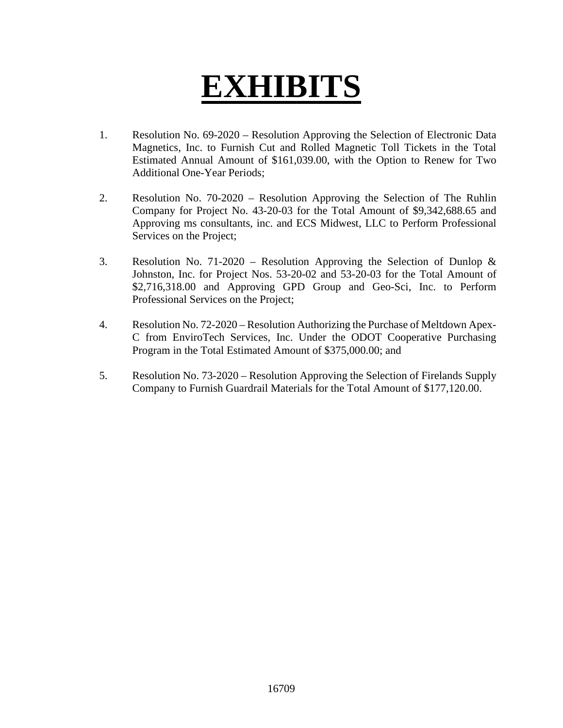# **EXHIBITS**

- 1. Resolution No. 69-2020 Resolution Approving the Selection of Electronic Data Magnetics, Inc. to Furnish Cut and Rolled Magnetic Toll Tickets in the Total Estimated Annual Amount of \$161,039.00, with the Option to Renew for Two Additional One-Year Periods;
- 2. Resolution No. 70-2020 Resolution Approving the Selection of The Ruhlin Company for Project No. 43-20-03 for the Total Amount of \$9,342,688.65 and Approving ms consultants, inc. and ECS Midwest, LLC to Perform Professional Services on the Project;
- 3. Resolution No. 71-2020 Resolution Approving the Selection of Dunlop & Johnston, Inc. for Project Nos. 53-20-02 and 53-20-03 for the Total Amount of \$2,716,318.00 and Approving GPD Group and Geo-Sci, Inc. to Perform Professional Services on the Project;
- 4. Resolution No. 72-2020 Resolution Authorizing the Purchase of Meltdown Apex-C from EnviroTech Services, Inc. Under the ODOT Cooperative Purchasing Program in the Total Estimated Amount of \$375,000.00; and
- 5. Resolution No. 73-2020 Resolution Approving the Selection of Firelands Supply Company to Furnish Guardrail Materials for the Total Amount of \$177,120.00.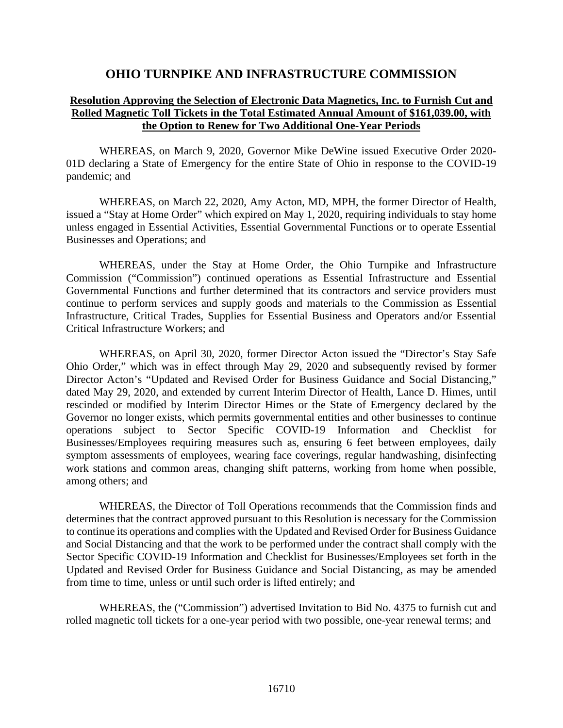## **OHIO TURNPIKE AND INFRASTRUCTURE COMMISSION**

## **Resolution Approving the Selection of Electronic Data Magnetics, Inc. to Furnish Cut and Rolled Magnetic Toll Tickets in the Total Estimated Annual Amount of \$161,039.00, with the Option to Renew for Two Additional One-Year Periods**

WHEREAS, on March 9, 2020, Governor Mike DeWine issued Executive Order 2020- 01D declaring a State of Emergency for the entire State of Ohio in response to the COVID-19 pandemic; and

WHEREAS, on March 22, 2020, Amy Acton, MD, MPH, the former Director of Health, issued a "Stay at Home Order" which expired on May 1, 2020, requiring individuals to stay home unless engaged in Essential Activities, Essential Governmental Functions or to operate Essential Businesses and Operations; and

WHEREAS, under the Stay at Home Order, the Ohio Turnpike and Infrastructure Commission ("Commission") continued operations as Essential Infrastructure and Essential Governmental Functions and further determined that its contractors and service providers must continue to perform services and supply goods and materials to the Commission as Essential Infrastructure, Critical Trades, Supplies for Essential Business and Operators and/or Essential Critical Infrastructure Workers; and

WHEREAS, on April 30, 2020, former Director Acton issued the "Director's Stay Safe Ohio Order," which was in effect through May 29, 2020 and subsequently revised by former Director Acton's "Updated and Revised Order for Business Guidance and Social Distancing," dated May 29, 2020, and extended by current Interim Director of Health, Lance D. Himes, until rescinded or modified by Interim Director Himes or the State of Emergency declared by the Governor no longer exists, which permits governmental entities and other businesses to continue operations subject to Sector Specific COVID-19 Information and Checklist for Businesses/Employees requiring measures such as, ensuring 6 feet between employees, daily symptom assessments of employees, wearing face coverings, regular handwashing, disinfecting work stations and common areas, changing shift patterns, working from home when possible, among others; and

WHEREAS, the Director of Toll Operations recommends that the Commission finds and determines that the contract approved pursuant to this Resolution is necessary for the Commission to continue its operations and complies with the Updated and Revised Order for Business Guidance and Social Distancing and that the work to be performed under the contract shall comply with the Sector Specific COVID-19 Information and Checklist for Businesses/Employees set forth in the Updated and Revised Order for Business Guidance and Social Distancing, as may be amended from time to time, unless or until such order is lifted entirely; and

WHEREAS, the ("Commission") advertised Invitation to Bid No. 4375 to furnish cut and rolled magnetic toll tickets for a one-year period with two possible, one-year renewal terms; and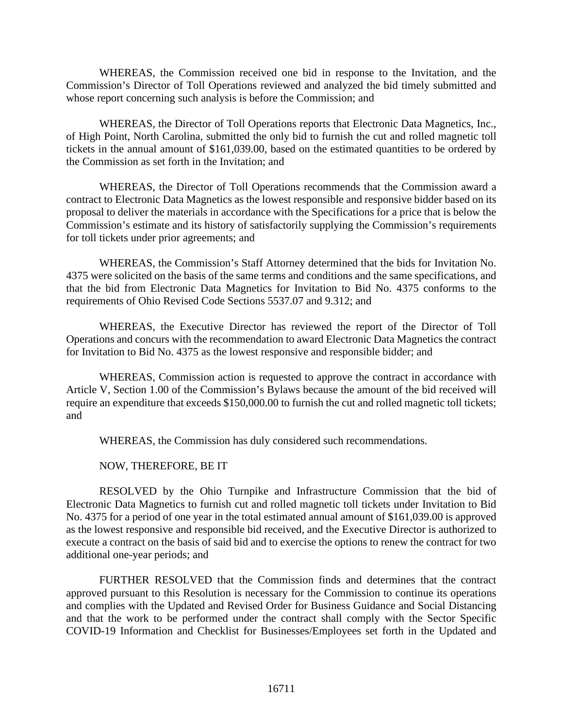WHEREAS, the Commission received one bid in response to the Invitation, and the Commission's Director of Toll Operations reviewed and analyzed the bid timely submitted and whose report concerning such analysis is before the Commission; and

WHEREAS, the Director of Toll Operations reports that Electronic Data Magnetics, Inc., of High Point, North Carolina, submitted the only bid to furnish the cut and rolled magnetic toll tickets in the annual amount of \$161,039.00, based on the estimated quantities to be ordered by the Commission as set forth in the Invitation; and

WHEREAS, the Director of Toll Operations recommends that the Commission award a contract to Electronic Data Magnetics as the lowest responsible and responsive bidder based on its proposal to deliver the materials in accordance with the Specifications for a price that is below the Commission's estimate and its history of satisfactorily supplying the Commission's requirements for toll tickets under prior agreements; and

WHEREAS, the Commission's Staff Attorney determined that the bids for Invitation No. 4375 were solicited on the basis of the same terms and conditions and the same specifications, and that the bid from Electronic Data Magnetics for Invitation to Bid No. 4375 conforms to the requirements of Ohio Revised Code Sections 5537.07 and 9.312; and

WHEREAS, the Executive Director has reviewed the report of the Director of Toll Operations and concurs with the recommendation to award Electronic Data Magnetics the contract for Invitation to Bid No. 4375 as the lowest responsive and responsible bidder; and

WHEREAS, Commission action is requested to approve the contract in accordance with Article V, Section 1.00 of the Commission's Bylaws because the amount of the bid received will require an expenditure that exceeds \$150,000.00 to furnish the cut and rolled magnetic toll tickets; and

WHEREAS, the Commission has duly considered such recommendations.

NOW, THEREFORE, BE IT

RESOLVED by the Ohio Turnpike and Infrastructure Commission that the bid of Electronic Data Magnetics to furnish cut and rolled magnetic toll tickets under Invitation to Bid No. 4375 for a period of one year in the total estimated annual amount of \$161,039.00 is approved as the lowest responsive and responsible bid received, and the Executive Director is authorized to execute a contract on the basis of said bid and to exercise the options to renew the contract for two additional one-year periods; and

FURTHER RESOLVED that the Commission finds and determines that the contract approved pursuant to this Resolution is necessary for the Commission to continue its operations and complies with the Updated and Revised Order for Business Guidance and Social Distancing and that the work to be performed under the contract shall comply with the Sector Specific COVID-19 Information and Checklist for Businesses/Employees set forth in the Updated and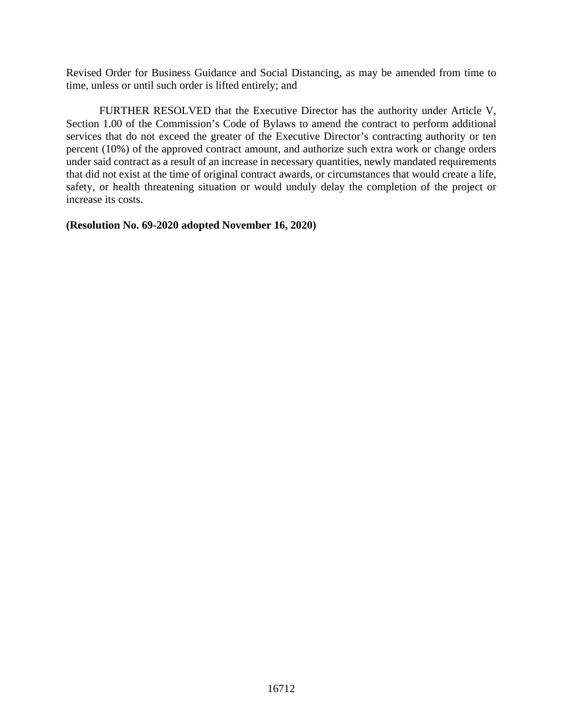Revised Order for Business Guidance and Social Distancing, as may be amended from time to time, unless or until such order is lifted entirely; and

FURTHER RESOLVED that the Executive Director has the authority under Article V, Section 1.00 of the Commission's Code of Bylaws to amend the contract to perform additional services that do not exceed the greater of the Executive Director's contracting authority or ten percent (10%) of the approved contract amount, and authorize such extra work or change orders under said contract as a result of an increase in necessary quantities, newly mandated requirements that did not exist at the time of original contract awards, or circumstances that would create a life, safety, or health threatening situation or would unduly delay the completion of the project or increase its costs.

**(Resolution No. 69-2020 adopted November 16, 2020)**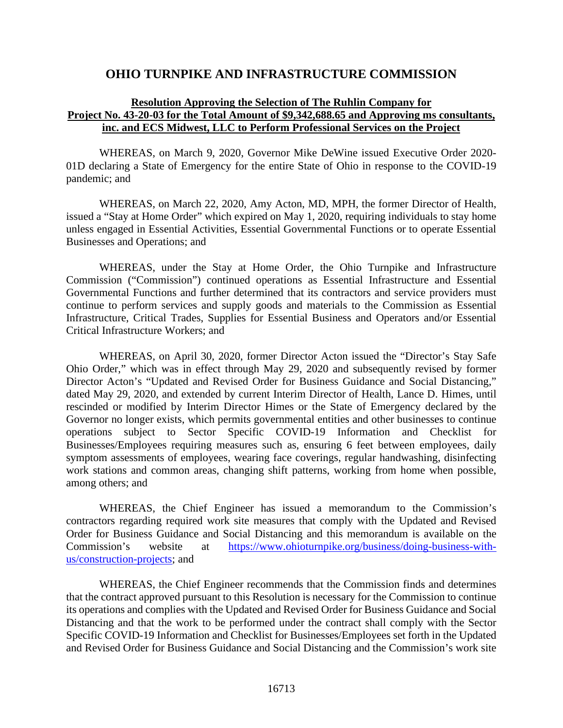## **OHIO TURNPIKE AND INFRASTRUCTURE COMMISSION**

## **Resolution Approving the Selection of The Ruhlin Company for Project No. 43-20-03 for the Total Amount of \$9,342,688.65 and Approving ms consultants, inc. and ECS Midwest, LLC to Perform Professional Services on the Project**

WHEREAS, on March 9, 2020, Governor Mike DeWine issued Executive Order 2020- 01D declaring a State of Emergency for the entire State of Ohio in response to the COVID-19 pandemic; and

WHEREAS, on March 22, 2020, Amy Acton, MD, MPH, the former Director of Health, issued a "Stay at Home Order" which expired on May 1, 2020, requiring individuals to stay home unless engaged in Essential Activities, Essential Governmental Functions or to operate Essential Businesses and Operations; and

WHEREAS, under the Stay at Home Order, the Ohio Turnpike and Infrastructure Commission ("Commission") continued operations as Essential Infrastructure and Essential Governmental Functions and further determined that its contractors and service providers must continue to perform services and supply goods and materials to the Commission as Essential Infrastructure, Critical Trades, Supplies for Essential Business and Operators and/or Essential Critical Infrastructure Workers; and

WHEREAS, on April 30, 2020, former Director Acton issued the "Director's Stay Safe Ohio Order," which was in effect through May 29, 2020 and subsequently revised by former Director Acton's "Updated and Revised Order for Business Guidance and Social Distancing," dated May 29, 2020, and extended by current Interim Director of Health, Lance D. Himes, until rescinded or modified by Interim Director Himes or the State of Emergency declared by the Governor no longer exists, which permits governmental entities and other businesses to continue operations subject to Sector Specific COVID-19 Information and Checklist for Businesses/Employees requiring measures such as, ensuring 6 feet between employees, daily symptom assessments of employees, wearing face coverings, regular handwashing, disinfecting work stations and common areas, changing shift patterns, working from home when possible, among others; and

WHEREAS, the Chief Engineer has issued a memorandum to the Commission's contractors regarding required work site measures that comply with the Updated and Revised Order for Business Guidance and Social Distancing and this memorandum is available on the Commission's website at [https://www.ohioturnpike.org/business/doing-business-with](https://www.ohioturnpike.org/business/doing-business-with-us/construction-projects)[us/construction-projects;](https://www.ohioturnpike.org/business/doing-business-with-us/construction-projects) and

WHEREAS, the Chief Engineer recommends that the Commission finds and determines that the contract approved pursuant to this Resolution is necessary for the Commission to continue its operations and complies with the Updated and Revised Order for Business Guidance and Social Distancing and that the work to be performed under the contract shall comply with the Sector Specific COVID-19 Information and Checklist for Businesses/Employees set forth in the Updated and Revised Order for Business Guidance and Social Distancing and the Commission's work site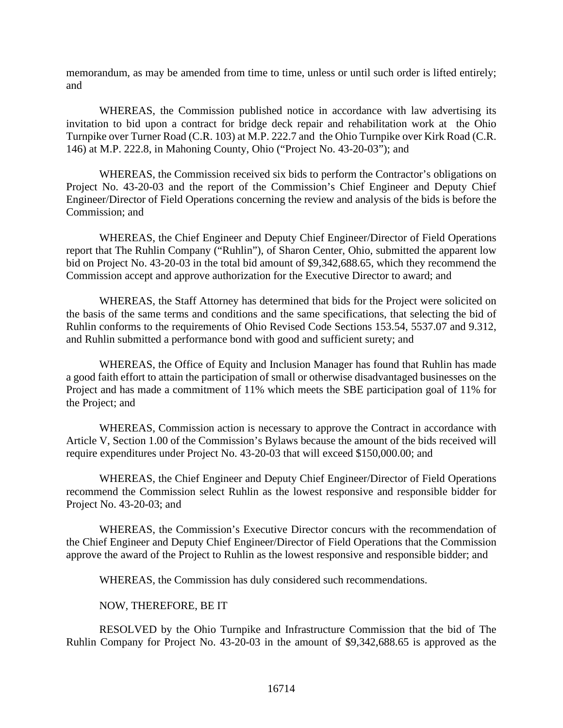memorandum, as may be amended from time to time, unless or until such order is lifted entirely; and

WHEREAS, the Commission published notice in accordance with law advertising its invitation to bid upon a contract for bridge deck repair and rehabilitation work at the Ohio Turnpike over Turner Road (C.R. 103) at M.P. 222.7 and the Ohio Turnpike over Kirk Road (C.R. 146) at M.P. 222.8, in Mahoning County, Ohio ("Project No. 43-20-03"); and

WHEREAS, the Commission received six bids to perform the Contractor's obligations on Project No. 43-20-03 and the report of the Commission's Chief Engineer and Deputy Chief Engineer/Director of Field Operations concerning the review and analysis of the bids is before the Commission; and

WHEREAS, the Chief Engineer and Deputy Chief Engineer/Director of Field Operations report that The Ruhlin Company ("Ruhlin"), of Sharon Center, Ohio, submitted the apparent low bid on Project No. 43-20-03 in the total bid amount of \$9,342,688.65, which they recommend the Commission accept and approve authorization for the Executive Director to award; and

WHEREAS, the Staff Attorney has determined that bids for the Project were solicited on the basis of the same terms and conditions and the same specifications, that selecting the bid of Ruhlin conforms to the requirements of Ohio Revised Code Sections 153.54, 5537.07 and 9.312, and Ruhlin submitted a performance bond with good and sufficient surety; and

WHEREAS, the Office of Equity and Inclusion Manager has found that Ruhlin has made a good faith effort to attain the participation of small or otherwise disadvantaged businesses on the Project and has made a commitment of 11% which meets the SBE participation goal of 11% for the Project; and

WHEREAS, Commission action is necessary to approve the Contract in accordance with Article V, Section 1.00 of the Commission's Bylaws because the amount of the bids received will require expenditures under Project No. 43-20-03 that will exceed \$150,000.00; and

WHEREAS, the Chief Engineer and Deputy Chief Engineer/Director of Field Operations recommend the Commission select Ruhlin as the lowest responsive and responsible bidder for Project No. 43-20-03; and

WHEREAS, the Commission's Executive Director concurs with the recommendation of the Chief Engineer and Deputy Chief Engineer/Director of Field Operations that the Commission approve the award of the Project to Ruhlin as the lowest responsive and responsible bidder; and

WHEREAS, the Commission has duly considered such recommendations.

#### NOW, THEREFORE, BE IT

RESOLVED by the Ohio Turnpike and Infrastructure Commission that the bid of The Ruhlin Company for Project No. 43-20-03 in the amount of \$9,342,688.65 is approved as the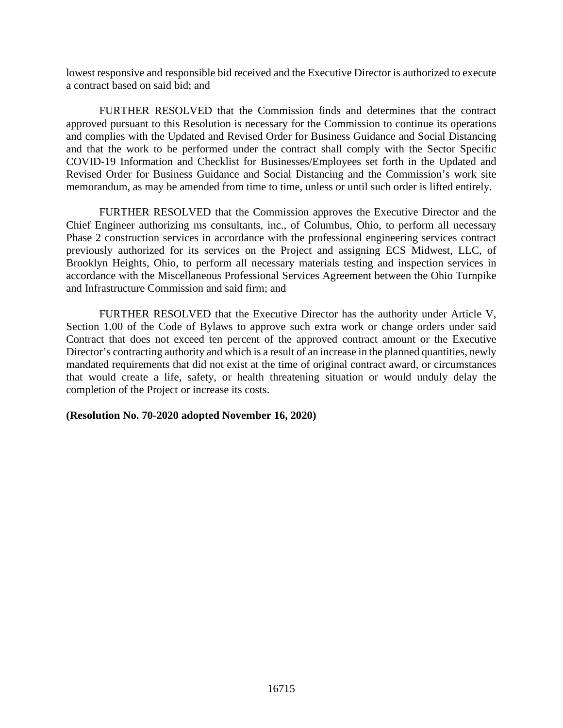lowest responsive and responsible bid received and the Executive Director is authorized to execute a contract based on said bid; and

FURTHER RESOLVED that the Commission finds and determines that the contract approved pursuant to this Resolution is necessary for the Commission to continue its operations and complies with the Updated and Revised Order for Business Guidance and Social Distancing and that the work to be performed under the contract shall comply with the Sector Specific COVID-19 Information and Checklist for Businesses/Employees set forth in the Updated and Revised Order for Business Guidance and Social Distancing and the Commission's work site memorandum, as may be amended from time to time, unless or until such order is lifted entirely.

FURTHER RESOLVED that the Commission approves the Executive Director and the Chief Engineer authorizing ms consultants, inc., of Columbus, Ohio, to perform all necessary Phase 2 construction services in accordance with the professional engineering services contract previously authorized for its services on the Project and assigning ECS Midwest, LLC, of Brooklyn Heights, Ohio, to perform all necessary materials testing and inspection services in accordance with the Miscellaneous Professional Services Agreement between the Ohio Turnpike and Infrastructure Commission and said firm; and

FURTHER RESOLVED that the Executive Director has the authority under Article V, Section 1.00 of the Code of Bylaws to approve such extra work or change orders under said Contract that does not exceed ten percent of the approved contract amount or the Executive Director's contracting authority and which is a result of an increase in the planned quantities, newly mandated requirements that did not exist at the time of original contract award, or circumstances that would create a life, safety, or health threatening situation or would unduly delay the completion of the Project or increase its costs.

## **(Resolution No. 70-2020 adopted November 16, 2020)**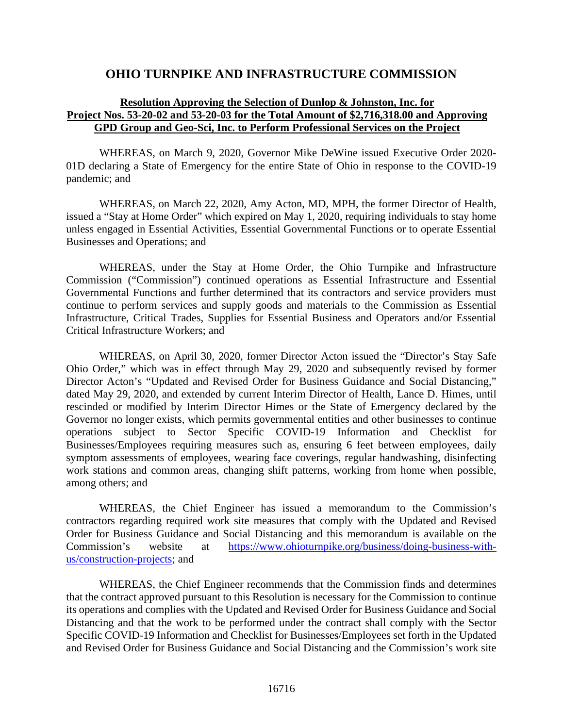## **OHIO TURNPIKE AND INFRASTRUCTURE COMMISSION**

## **Resolution Approving the Selection of Dunlop & Johnston, Inc. for Project Nos. 53-20-02 and 53-20-03 for the Total Amount of \$2,716,318.00 and Approving GPD Group and Geo-Sci, Inc. to Perform Professional Services on the Project**

WHEREAS, on March 9, 2020, Governor Mike DeWine issued Executive Order 2020- 01D declaring a State of Emergency for the entire State of Ohio in response to the COVID-19 pandemic; and

WHEREAS, on March 22, 2020, Amy Acton, MD, MPH, the former Director of Health, issued a "Stay at Home Order" which expired on May 1, 2020, requiring individuals to stay home unless engaged in Essential Activities, Essential Governmental Functions or to operate Essential Businesses and Operations; and

WHEREAS, under the Stay at Home Order, the Ohio Turnpike and Infrastructure Commission ("Commission") continued operations as Essential Infrastructure and Essential Governmental Functions and further determined that its contractors and service providers must continue to perform services and supply goods and materials to the Commission as Essential Infrastructure, Critical Trades, Supplies for Essential Business and Operators and/or Essential Critical Infrastructure Workers; and

WHEREAS, on April 30, 2020, former Director Acton issued the "Director's Stay Safe Ohio Order," which was in effect through May 29, 2020 and subsequently revised by former Director Acton's "Updated and Revised Order for Business Guidance and Social Distancing," dated May 29, 2020, and extended by current Interim Director of Health, Lance D. Himes, until rescinded or modified by Interim Director Himes or the State of Emergency declared by the Governor no longer exists, which permits governmental entities and other businesses to continue operations subject to Sector Specific COVID-19 Information and Checklist for Businesses/Employees requiring measures such as, ensuring 6 feet between employees, daily symptom assessments of employees, wearing face coverings, regular handwashing, disinfecting work stations and common areas, changing shift patterns, working from home when possible, among others; and

WHEREAS, the Chief Engineer has issued a memorandum to the Commission's contractors regarding required work site measures that comply with the Updated and Revised Order for Business Guidance and Social Distancing and this memorandum is available on the Commission's website at [https://www.ohioturnpike.org/business/doing-business-with](https://www.ohioturnpike.org/business/doing-business-with-us/construction-projects)[us/construction-projects;](https://www.ohioturnpike.org/business/doing-business-with-us/construction-projects) and

WHEREAS, the Chief Engineer recommends that the Commission finds and determines that the contract approved pursuant to this Resolution is necessary for the Commission to continue its operations and complies with the Updated and Revised Order for Business Guidance and Social Distancing and that the work to be performed under the contract shall comply with the Sector Specific COVID-19 Information and Checklist for Businesses/Employees set forth in the Updated and Revised Order for Business Guidance and Social Distancing and the Commission's work site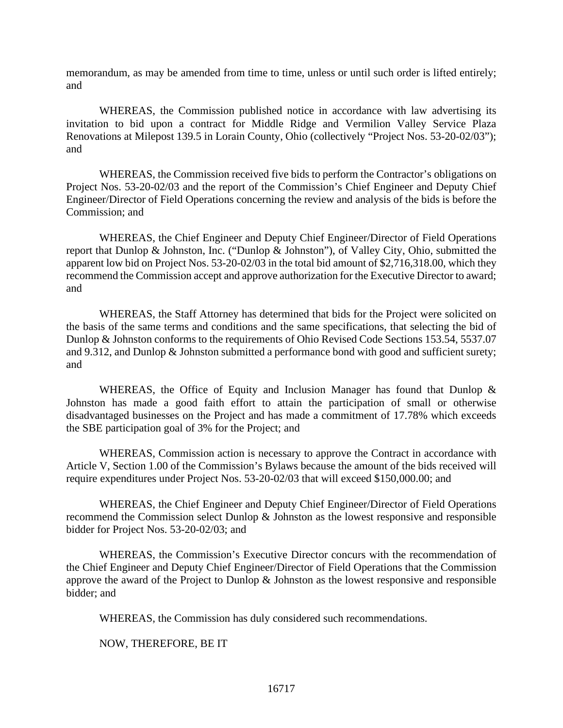memorandum, as may be amended from time to time, unless or until such order is lifted entirely; and

WHEREAS, the Commission published notice in accordance with law advertising its invitation to bid upon a contract for Middle Ridge and Vermilion Valley Service Plaza Renovations at Milepost 139.5 in Lorain County, Ohio (collectively "Project Nos. 53-20-02/03"); and

WHEREAS, the Commission received five bids to perform the Contractor's obligations on Project Nos. 53-20-02/03 and the report of the Commission's Chief Engineer and Deputy Chief Engineer/Director of Field Operations concerning the review and analysis of the bids is before the Commission; and

WHEREAS, the Chief Engineer and Deputy Chief Engineer/Director of Field Operations report that Dunlop & Johnston, Inc. ("Dunlop & Johnston"), of Valley City, Ohio, submitted the apparent low bid on Project Nos. 53-20-02/03 in the total bid amount of \$2,716,318.00, which they recommend the Commission accept and approve authorization for the Executive Director to award; and

WHEREAS, the Staff Attorney has determined that bids for the Project were solicited on the basis of the same terms and conditions and the same specifications, that selecting the bid of Dunlop & Johnston conforms to the requirements of Ohio Revised Code Sections 153.54, 5537.07 and 9.312, and Dunlop & Johnston submitted a performance bond with good and sufficient surety; and

WHEREAS, the Office of Equity and Inclusion Manager has found that Dunlop & Johnston has made a good faith effort to attain the participation of small or otherwise disadvantaged businesses on the Project and has made a commitment of 17.78% which exceeds the SBE participation goal of 3% for the Project; and

WHEREAS, Commission action is necessary to approve the Contract in accordance with Article V, Section 1.00 of the Commission's Bylaws because the amount of the bids received will require expenditures under Project Nos. 53-20-02/03 that will exceed \$150,000.00; and

WHEREAS, the Chief Engineer and Deputy Chief Engineer/Director of Field Operations recommend the Commission select Dunlop & Johnston as the lowest responsive and responsible bidder for Project Nos. 53-20-02/03; and

WHEREAS, the Commission's Executive Director concurs with the recommendation of the Chief Engineer and Deputy Chief Engineer/Director of Field Operations that the Commission approve the award of the Project to Dunlop & Johnston as the lowest responsive and responsible bidder; and

WHEREAS, the Commission has duly considered such recommendations.

NOW, THEREFORE, BE IT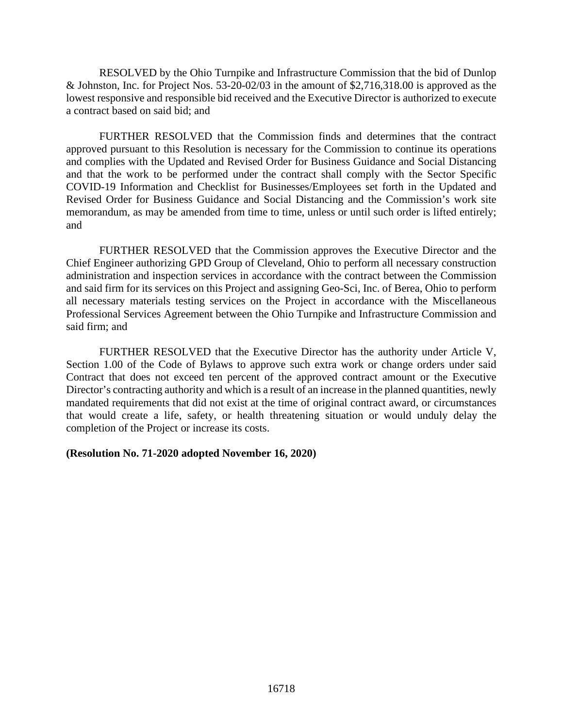RESOLVED by the Ohio Turnpike and Infrastructure Commission that the bid of Dunlop & Johnston, Inc. for Project Nos. 53-20-02/03 in the amount of \$2,716,318.00 is approved as the lowest responsive and responsible bid received and the Executive Director is authorized to execute a contract based on said bid; and

FURTHER RESOLVED that the Commission finds and determines that the contract approved pursuant to this Resolution is necessary for the Commission to continue its operations and complies with the Updated and Revised Order for Business Guidance and Social Distancing and that the work to be performed under the contract shall comply with the Sector Specific COVID-19 Information and Checklist for Businesses/Employees set forth in the Updated and Revised Order for Business Guidance and Social Distancing and the Commission's work site memorandum, as may be amended from time to time, unless or until such order is lifted entirely; and

FURTHER RESOLVED that the Commission approves the Executive Director and the Chief Engineer authorizing GPD Group of Cleveland, Ohio to perform all necessary construction administration and inspection services in accordance with the contract between the Commission and said firm for its services on this Project and assigning Geo-Sci, Inc. of Berea, Ohio to perform all necessary materials testing services on the Project in accordance with the Miscellaneous Professional Services Agreement between the Ohio Turnpike and Infrastructure Commission and said firm; and

FURTHER RESOLVED that the Executive Director has the authority under Article V, Section 1.00 of the Code of Bylaws to approve such extra work or change orders under said Contract that does not exceed ten percent of the approved contract amount or the Executive Director's contracting authority and which is a result of an increase in the planned quantities, newly mandated requirements that did not exist at the time of original contract award, or circumstances that would create a life, safety, or health threatening situation or would unduly delay the completion of the Project or increase its costs.

## **(Resolution No. 71-2020 adopted November 16, 2020)**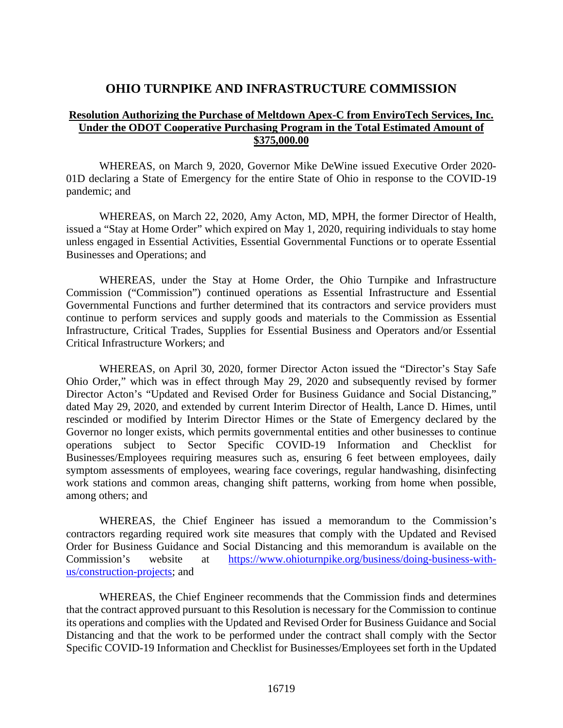## **OHIO TURNPIKE AND INFRASTRUCTURE COMMISSION**

## **Resolution Authorizing the Purchase of Meltdown Apex-C from EnviroTech Services, Inc. Under the ODOT Cooperative Purchasing Program in the Total Estimated Amount of \$375,000.00**

WHEREAS, on March 9, 2020, Governor Mike DeWine issued Executive Order 2020- 01D declaring a State of Emergency for the entire State of Ohio in response to the COVID-19 pandemic; and

WHEREAS, on March 22, 2020, Amy Acton, MD, MPH, the former Director of Health, issued a "Stay at Home Order" which expired on May 1, 2020, requiring individuals to stay home unless engaged in Essential Activities, Essential Governmental Functions or to operate Essential Businesses and Operations; and

WHEREAS, under the Stay at Home Order, the Ohio Turnpike and Infrastructure Commission ("Commission") continued operations as Essential Infrastructure and Essential Governmental Functions and further determined that its contractors and service providers must continue to perform services and supply goods and materials to the Commission as Essential Infrastructure, Critical Trades, Supplies for Essential Business and Operators and/or Essential Critical Infrastructure Workers; and

WHEREAS, on April 30, 2020, former Director Acton issued the "Director's Stay Safe Ohio Order," which was in effect through May 29, 2020 and subsequently revised by former Director Acton's "Updated and Revised Order for Business Guidance and Social Distancing," dated May 29, 2020, and extended by current Interim Director of Health, Lance D. Himes, until rescinded or modified by Interim Director Himes or the State of Emergency declared by the Governor no longer exists, which permits governmental entities and other businesses to continue operations subject to Sector Specific COVID-19 Information and Checklist for Businesses/Employees requiring measures such as, ensuring 6 feet between employees, daily symptom assessments of employees, wearing face coverings, regular handwashing, disinfecting work stations and common areas, changing shift patterns, working from home when possible, among others; and

WHEREAS, the Chief Engineer has issued a memorandum to the Commission's contractors regarding required work site measures that comply with the Updated and Revised Order for Business Guidance and Social Distancing and this memorandum is available on the Commission's website at [https://www.ohioturnpike.org/business/doing-business-with](https://www.ohioturnpike.org/business/doing-business-with-us/construction-projects)[us/construction-projects;](https://www.ohioturnpike.org/business/doing-business-with-us/construction-projects) and

WHEREAS, the Chief Engineer recommends that the Commission finds and determines that the contract approved pursuant to this Resolution is necessary for the Commission to continue its operations and complies with the Updated and Revised Order for Business Guidance and Social Distancing and that the work to be performed under the contract shall comply with the Sector Specific COVID-19 Information and Checklist for Businesses/Employees set forth in the Updated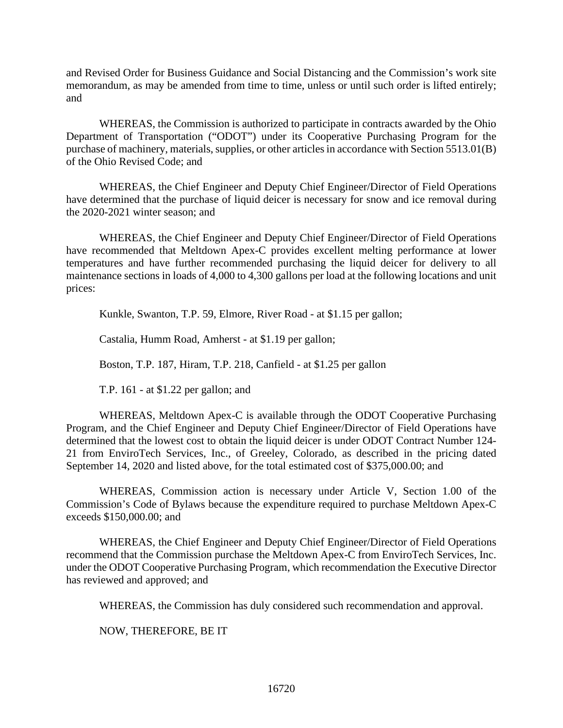and Revised Order for Business Guidance and Social Distancing and the Commission's work site memorandum, as may be amended from time to time, unless or until such order is lifted entirely; and

WHEREAS, the Commission is authorized to participate in contracts awarded by the Ohio Department of Transportation ("ODOT") under its Cooperative Purchasing Program for the purchase of machinery, materials, supplies, or other articles in accordance with Section 5513.01(B) of the Ohio Revised Code; and

WHEREAS, the Chief Engineer and Deputy Chief Engineer/Director of Field Operations have determined that the purchase of liquid deicer is necessary for snow and ice removal during the 2020-2021 winter season; and

WHEREAS, the Chief Engineer and Deputy Chief Engineer/Director of Field Operations have recommended that Meltdown Apex-C provides excellent melting performance at lower temperatures and have further recommended purchasing the liquid deicer for delivery to all maintenance sections in loads of 4,000 to 4,300 gallons per load at the following locations and unit prices:

Kunkle, Swanton, T.P. 59, Elmore, River Road - at \$1.15 per gallon;

Castalia, Humm Road, Amherst - at \$1.19 per gallon;

Boston, T.P. 187, Hiram, T.P. 218, Canfield - at \$1.25 per gallon

T.P. 161 - at \$1.22 per gallon; and

WHEREAS, Meltdown Apex-C is available through the ODOT Cooperative Purchasing Program, and the Chief Engineer and Deputy Chief Engineer/Director of Field Operations have determined that the lowest cost to obtain the liquid deicer is under ODOT Contract Number 124- 21 from EnviroTech Services, Inc., of Greeley, Colorado, as described in the pricing dated September 14, 2020 and listed above, for the total estimated cost of \$375,000.00; and

WHEREAS, Commission action is necessary under Article V, Section 1.00 of the Commission's Code of Bylaws because the expenditure required to purchase Meltdown Apex-C exceeds \$150,000.00; and

WHEREAS, the Chief Engineer and Deputy Chief Engineer/Director of Field Operations recommend that the Commission purchase the Meltdown Apex-C from EnviroTech Services, Inc. under the ODOT Cooperative Purchasing Program, which recommendation the Executive Director has reviewed and approved; and

WHEREAS, the Commission has duly considered such recommendation and approval.

NOW, THEREFORE, BE IT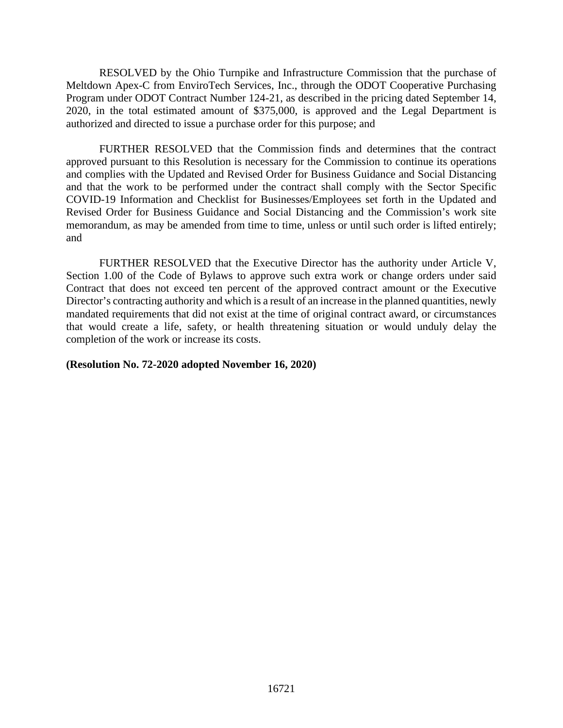RESOLVED by the Ohio Turnpike and Infrastructure Commission that the purchase of Meltdown Apex-C from EnviroTech Services, Inc., through the ODOT Cooperative Purchasing Program under ODOT Contract Number 124-21, as described in the pricing dated September 14, 2020, in the total estimated amount of \$375,000, is approved and the Legal Department is authorized and directed to issue a purchase order for this purpose; and

FURTHER RESOLVED that the Commission finds and determines that the contract approved pursuant to this Resolution is necessary for the Commission to continue its operations and complies with the Updated and Revised Order for Business Guidance and Social Distancing and that the work to be performed under the contract shall comply with the Sector Specific COVID-19 Information and Checklist for Businesses/Employees set forth in the Updated and Revised Order for Business Guidance and Social Distancing and the Commission's work site memorandum, as may be amended from time to time, unless or until such order is lifted entirely; and

FURTHER RESOLVED that the Executive Director has the authority under Article V, Section 1.00 of the Code of Bylaws to approve such extra work or change orders under said Contract that does not exceed ten percent of the approved contract amount or the Executive Director's contracting authority and which is a result of an increase in the planned quantities, newly mandated requirements that did not exist at the time of original contract award, or circumstances that would create a life, safety, or health threatening situation or would unduly delay the completion of the work or increase its costs.

#### **(Resolution No. 72-2020 adopted November 16, 2020)**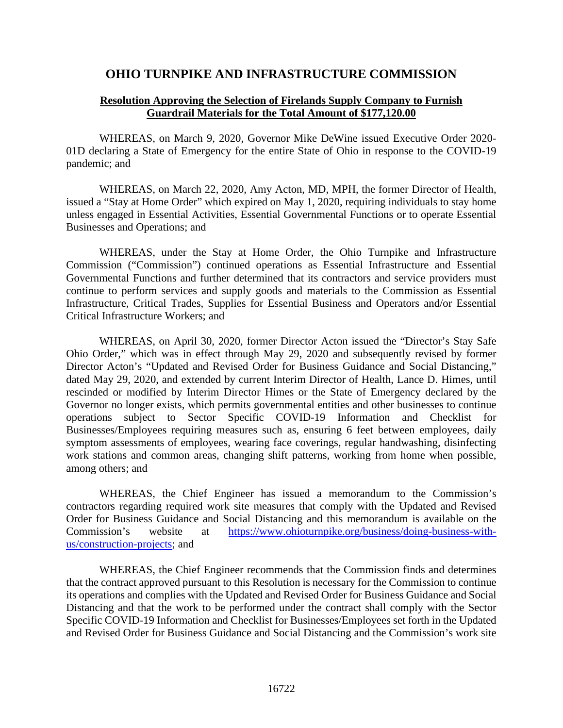## **OHIO TURNPIKE AND INFRASTRUCTURE COMMISSION**

## **Resolution Approving the Selection of Firelands Supply Company to Furnish Guardrail Materials for the Total Amount of \$177,120.00**

WHEREAS, on March 9, 2020, Governor Mike DeWine issued Executive Order 2020- 01D declaring a State of Emergency for the entire State of Ohio in response to the COVID-19 pandemic; and

WHEREAS, on March 22, 2020, Amy Acton, MD, MPH, the former Director of Health, issued a "Stay at Home Order" which expired on May 1, 2020, requiring individuals to stay home unless engaged in Essential Activities, Essential Governmental Functions or to operate Essential Businesses and Operations; and

WHEREAS, under the Stay at Home Order, the Ohio Turnpike and Infrastructure Commission ("Commission") continued operations as Essential Infrastructure and Essential Governmental Functions and further determined that its contractors and service providers must continue to perform services and supply goods and materials to the Commission as Essential Infrastructure, Critical Trades, Supplies for Essential Business and Operators and/or Essential Critical Infrastructure Workers; and

WHEREAS, on April 30, 2020, former Director Acton issued the "Director's Stay Safe Ohio Order," which was in effect through May 29, 2020 and subsequently revised by former Director Acton's "Updated and Revised Order for Business Guidance and Social Distancing," dated May 29, 2020, and extended by current Interim Director of Health, Lance D. Himes, until rescinded or modified by Interim Director Himes or the State of Emergency declared by the Governor no longer exists, which permits governmental entities and other businesses to continue operations subject to Sector Specific COVID-19 Information and Checklist for Businesses/Employees requiring measures such as, ensuring 6 feet between employees, daily symptom assessments of employees, wearing face coverings, regular handwashing, disinfecting work stations and common areas, changing shift patterns, working from home when possible, among others; and

WHEREAS, the Chief Engineer has issued a memorandum to the Commission's contractors regarding required work site measures that comply with the Updated and Revised Order for Business Guidance and Social Distancing and this memorandum is available on the Commission's website at [https://www.ohioturnpike.org/business/doing-business-with](https://www.ohioturnpike.org/business/doing-business-with-us/construction-projects)[us/construction-projects;](https://www.ohioturnpike.org/business/doing-business-with-us/construction-projects) and

WHEREAS, the Chief Engineer recommends that the Commission finds and determines that the contract approved pursuant to this Resolution is necessary for the Commission to continue its operations and complies with the Updated and Revised Order for Business Guidance and Social Distancing and that the work to be performed under the contract shall comply with the Sector Specific COVID-19 Information and Checklist for Businesses/Employees set forth in the Updated and Revised Order for Business Guidance and Social Distancing and the Commission's work site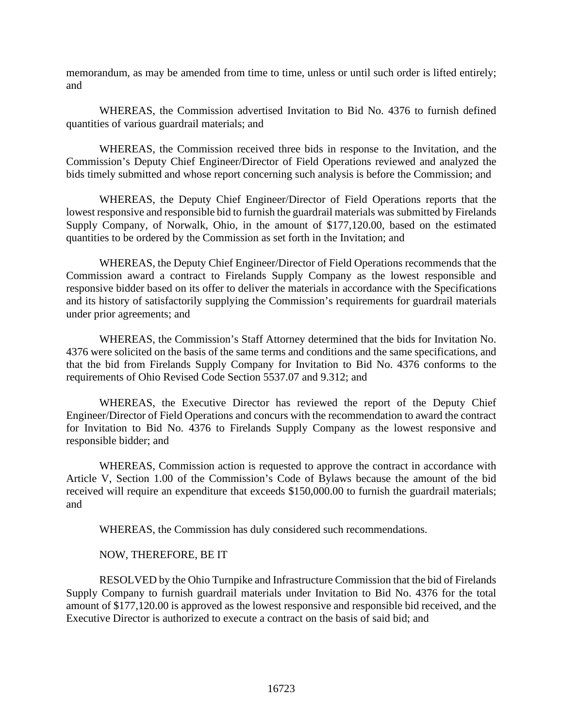memorandum, as may be amended from time to time, unless or until such order is lifted entirely; and

WHEREAS, the Commission advertised Invitation to Bid No. 4376 to furnish defined quantities of various guardrail materials; and

WHEREAS, the Commission received three bids in response to the Invitation, and the Commission's Deputy Chief Engineer/Director of Field Operations reviewed and analyzed the bids timely submitted and whose report concerning such analysis is before the Commission; and

WHEREAS, the Deputy Chief Engineer/Director of Field Operations reports that the lowest responsive and responsible bid to furnish the guardrail materials was submitted by Firelands Supply Company, of Norwalk, Ohio, in the amount of \$177,120.00, based on the estimated quantities to be ordered by the Commission as set forth in the Invitation; and

WHEREAS, the Deputy Chief Engineer/Director of Field Operations recommends that the Commission award a contract to Firelands Supply Company as the lowest responsible and responsive bidder based on its offer to deliver the materials in accordance with the Specifications and its history of satisfactorily supplying the Commission's requirements for guardrail materials under prior agreements; and

WHEREAS, the Commission's Staff Attorney determined that the bids for Invitation No. 4376 were solicited on the basis of the same terms and conditions and the same specifications, and that the bid from Firelands Supply Company for Invitation to Bid No. 4376 conforms to the requirements of Ohio Revised Code Section 5537.07 and 9.312; and

WHEREAS, the Executive Director has reviewed the report of the Deputy Chief Engineer/Director of Field Operations and concurs with the recommendation to award the contract for Invitation to Bid No. 4376 to Firelands Supply Company as the lowest responsive and responsible bidder; and

WHEREAS, Commission action is requested to approve the contract in accordance with Article V, Section 1.00 of the Commission's Code of Bylaws because the amount of the bid received will require an expenditure that exceeds \$150,000.00 to furnish the guardrail materials; and

WHEREAS, the Commission has duly considered such recommendations.

## NOW, THEREFORE, BE IT

RESOLVED by the Ohio Turnpike and Infrastructure Commission that the bid of Firelands Supply Company to furnish guardrail materials under Invitation to Bid No. 4376 for the total amount of \$177,120.00 is approved as the lowest responsive and responsible bid received, and the Executive Director is authorized to execute a contract on the basis of said bid; and